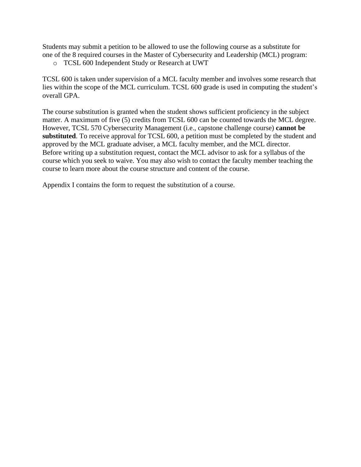Students may submit a petition to be allowed to use the following course as a substitute for one of the 8 required courses in the Master of Cybersecurity and Leadership (MCL) program:

o TCSL 600 Independent Study or Research at UWT

TCSL 600 is taken under supervision of a MCL faculty member and involves some research that lies within the scope of the MCL curriculum. TCSL 600 grade is used in computing the student's overall GPA.

The course substitution is granted when the student shows sufficient proficiency in the subject matter. A maximum of five (5) credits from TCSL 600 can be counted towards the MCL degree. However, TCSL 570 Cybersecurity Management (i.e., capstone challenge course) **cannot be substituted**. To receive approval for TCSL 600, a petition must be completed by the student and approved by the MCL graduate adviser, a MCL faculty member, and the MCL director. Before writing up a substitution request, contact the MCL advisor to ask for a syllabus of the course which you seek to waive. You may also wish to contact the faculty member teaching the course to learn more about the course structure and content of the course.

Appendix I contains the form to request the substitution of a course.